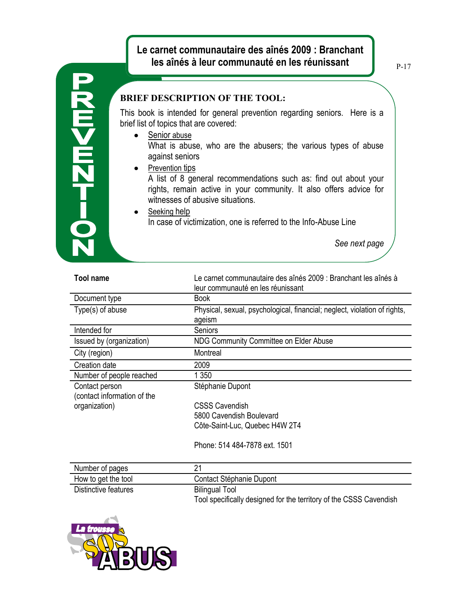## **Le carnet communautaire des aînés 2009 : Branchant les aînés à leur communauté en les réunissant**

P-17

## $\frac{1}{2}$

## **BRIEF DESCRIPTION OF THE TOOL:**

This book is intended for general prevention regarding seniors. Here is a brief list of topics that are covered:

- Senior abuse What is abuse, who are the abusers; the various types of abuse against seniors
	- Prevention tips

A list of 8 general recommendations such as: find out about your rights, remain active in your community. It also offers advice for witnesses of abusive situations.

Seeking help In case of victimization, one is referred to the Info-Abuse Line

*See next page*

| <b>Tool name</b>                              | Le carnet communautaire des aînés 2009 : Branchant les aînés à<br>leur communauté en les réunissant |
|-----------------------------------------------|-----------------------------------------------------------------------------------------------------|
| Document type                                 | <b>Book</b>                                                                                         |
| Type(s) of abuse                              | Physical, sexual, psychological, financial; neglect, violation of rights,<br>ageism                 |
| Intended for                                  | Seniors                                                                                             |
| Issued by (organization)                      | NDG Community Committee on Elder Abuse                                                              |
| City (region)                                 | Montreal                                                                                            |
| Creation date                                 | 2009                                                                                                |
| Number of people reached                      | 1 350                                                                                               |
| Contact person<br>(contact information of the | Stéphanie Dupont                                                                                    |
| organization)                                 | CSSS Cavendish                                                                                      |
|                                               | 5800 Cavendish Boulevard                                                                            |
|                                               | Côte-Saint-Luc, Quebec H4W 2T4                                                                      |
|                                               | Phone: 514 484-7878 ext. 1501                                                                       |

| Number of pages      |                                                                                             |
|----------------------|---------------------------------------------------------------------------------------------|
| How to get the tool  | Contact Stéphanie Dupont                                                                    |
| Distinctive features | <b>Bilingual Tool</b><br>Tool specifically designed for the territory of the CSSS Cavendish |